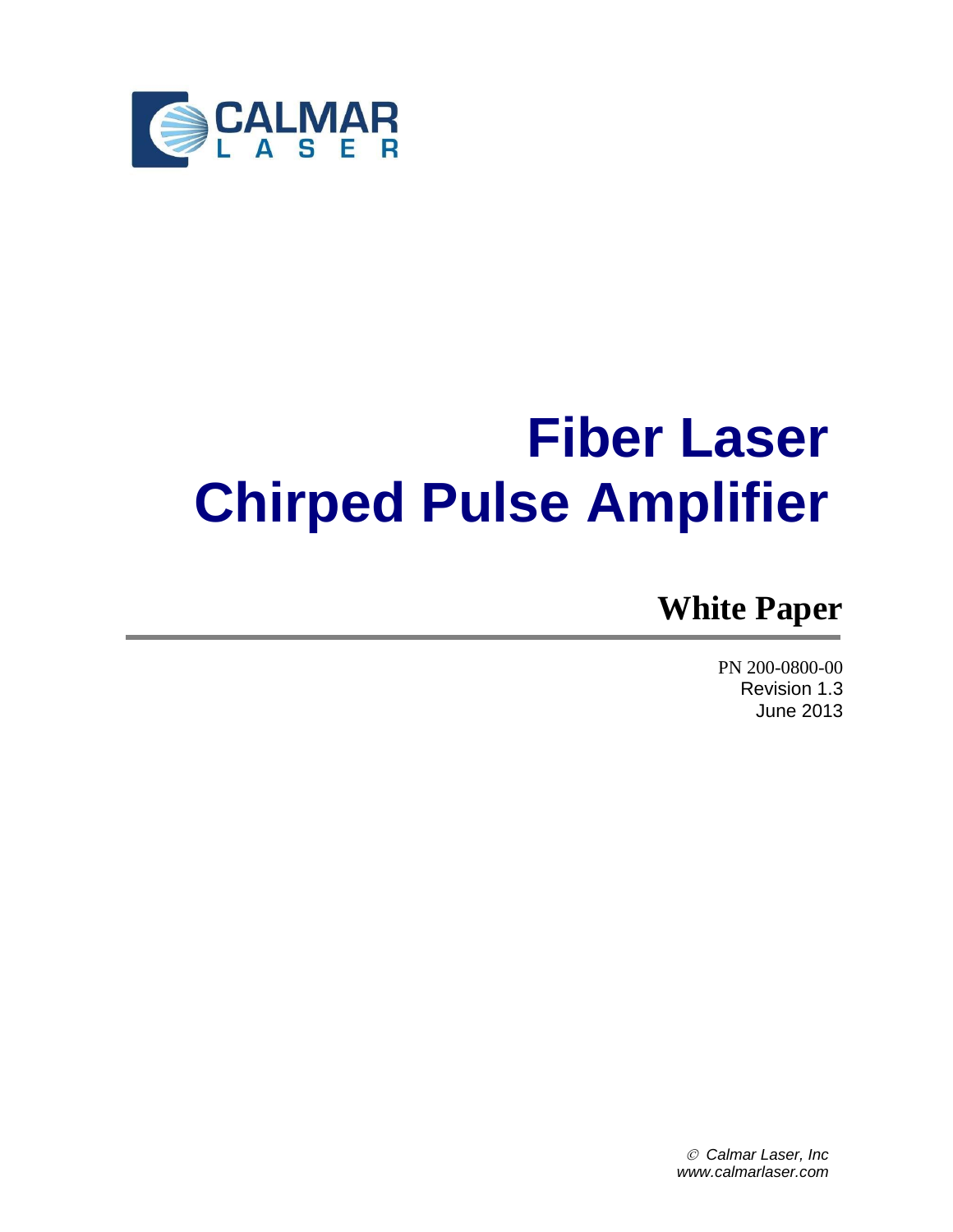

# **Fiber Laser Chirped Pulse Amplifier**

# **White Paper**

PN 200-0800-00 Revision 1.3 June 2013

 *Calmar Laser, Inc www.calmarlaser.com*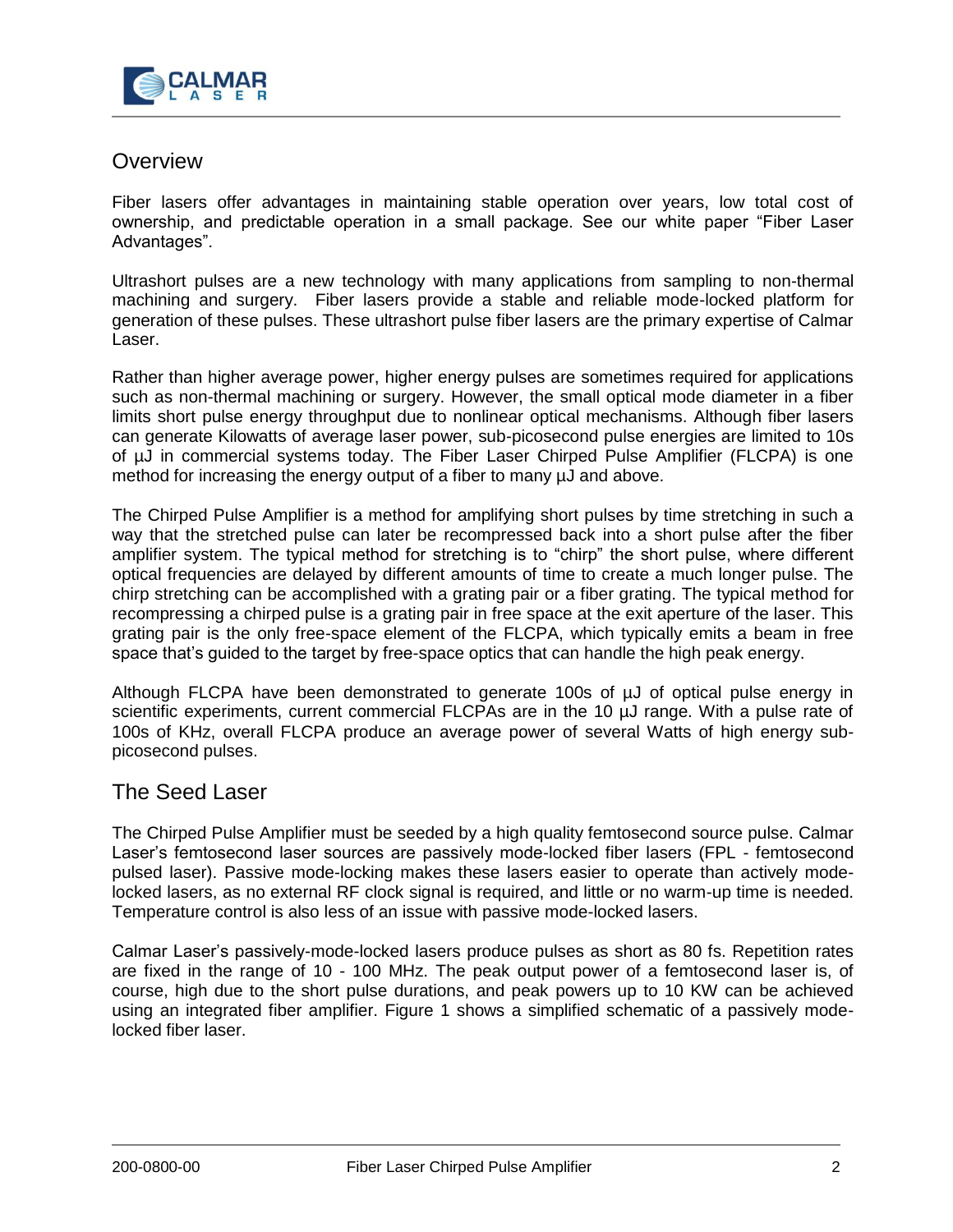

# **Overview**

Fiber lasers offer advantages in maintaining stable operation over years, low total cost of ownership, and predictable operation in a small package. See our white paper "Fiber Laser Advantages".

Ultrashort pulses are a new technology with many applications from sampling to non-thermal machining and surgery. Fiber lasers provide a stable and reliable mode-locked platform for generation of these pulses. These ultrashort pulse fiber lasers are the primary expertise of Calmar Laser.

Rather than higher average power, higher energy pulses are sometimes required for applications such as non-thermal machining or surgery. However, the small optical mode diameter in a fiber limits short pulse energy throughput due to nonlinear optical mechanisms. Although fiber lasers can generate Kilowatts of average laser power, sub-picosecond pulse energies are limited to 10s of µJ in commercial systems today. The Fiber Laser Chirped Pulse Amplifier (FLCPA) is one method for increasing the energy output of a fiber to many µJ and above.

The Chirped Pulse Amplifier is a method for amplifying short pulses by time stretching in such a way that the stretched pulse can later be recompressed back into a short pulse after the fiber amplifier system. The typical method for stretching is to "chirp" the short pulse, where different optical frequencies are delayed by different amounts of time to create a much longer pulse. The chirp stretching can be accomplished with a grating pair or a fiber grating. The typical method for recompressing a chirped pulse is a grating pair in free space at the exit aperture of the laser. This grating pair is the only free-space element of the FLCPA, which typically emits a beam in free space that's guided to the target by free-space optics that can handle the high peak energy.

Although FLCPA have been demonstrated to generate 100s of  $\mu$ J of optical pulse energy in scientific experiments, current commercial FLCPAs are in the 10  $\mu$ J range. With a pulse rate of 100s of KHz, overall FLCPA produce an average power of several Watts of high energy subpicosecond pulses.

## The Seed Laser

The Chirped Pulse Amplifier must be seeded by a high quality femtosecond source pulse. Calmar Laser's femtosecond laser sources are passively mode-locked fiber lasers (FPL - femtosecond pulsed laser). Passive mode-locking makes these lasers easier to operate than actively modelocked lasers, as no external RF clock signal is required, and little or no warm-up time is needed. Temperature control is also less of an issue with passive mode-locked lasers.

Calmar Laser's passively-mode-locked lasers produce pulses as short as 80 fs. Repetition rates are fixed in the range of 10 - 100 MHz. The peak output power of a femtosecond laser is, of course, high due to the short pulse durations, and peak powers up to 10 KW can be achieved using an integrated fiber amplifier. Figure 1 shows a simplified schematic of a passively modelocked fiber laser.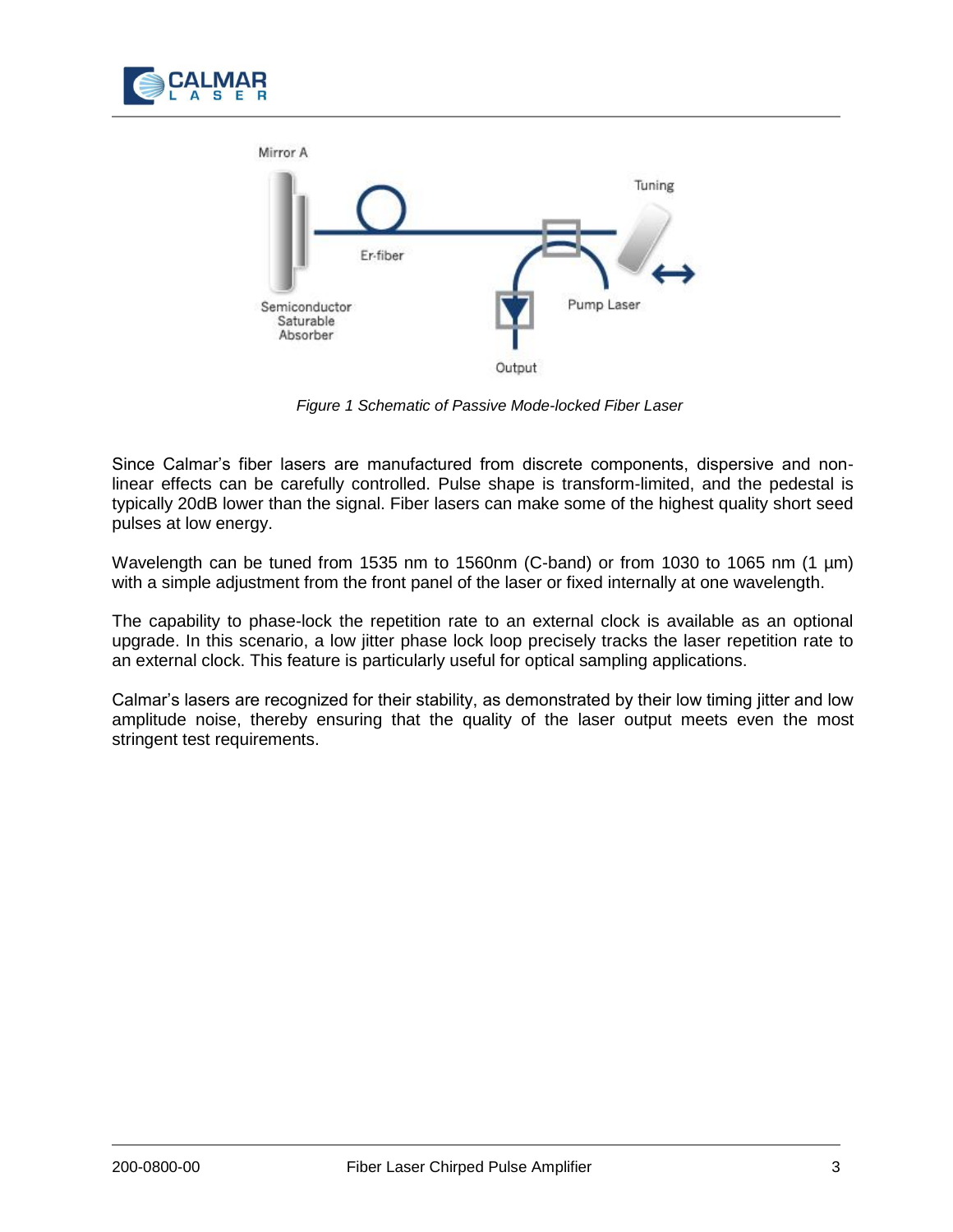



*Figure 1 Schematic of Passive Mode-locked Fiber Laser*

Since Calmar's fiber lasers are manufactured from discrete components, dispersive and nonlinear effects can be carefully controlled. Pulse shape is transform-limited, and the pedestal is typically 20dB lower than the signal. Fiber lasers can make some of the highest quality short seed pulses at low energy.

Wavelength can be tuned from 1535 nm to 1560nm (C-band) or from 1030 to 1065 nm (1 µm) with a simple adjustment from the front panel of the laser or fixed internally at one wavelength.

The capability to phase-lock the repetition rate to an external clock is available as an optional upgrade. In this scenario, a low jitter phase lock loop precisely tracks the laser repetition rate to an external clock. This feature is particularly useful for optical sampling applications.

Calmar's lasers are recognized for their stability, as demonstrated by their low timing jitter and low amplitude noise, thereby ensuring that the quality of the laser output meets even the most stringent test requirements.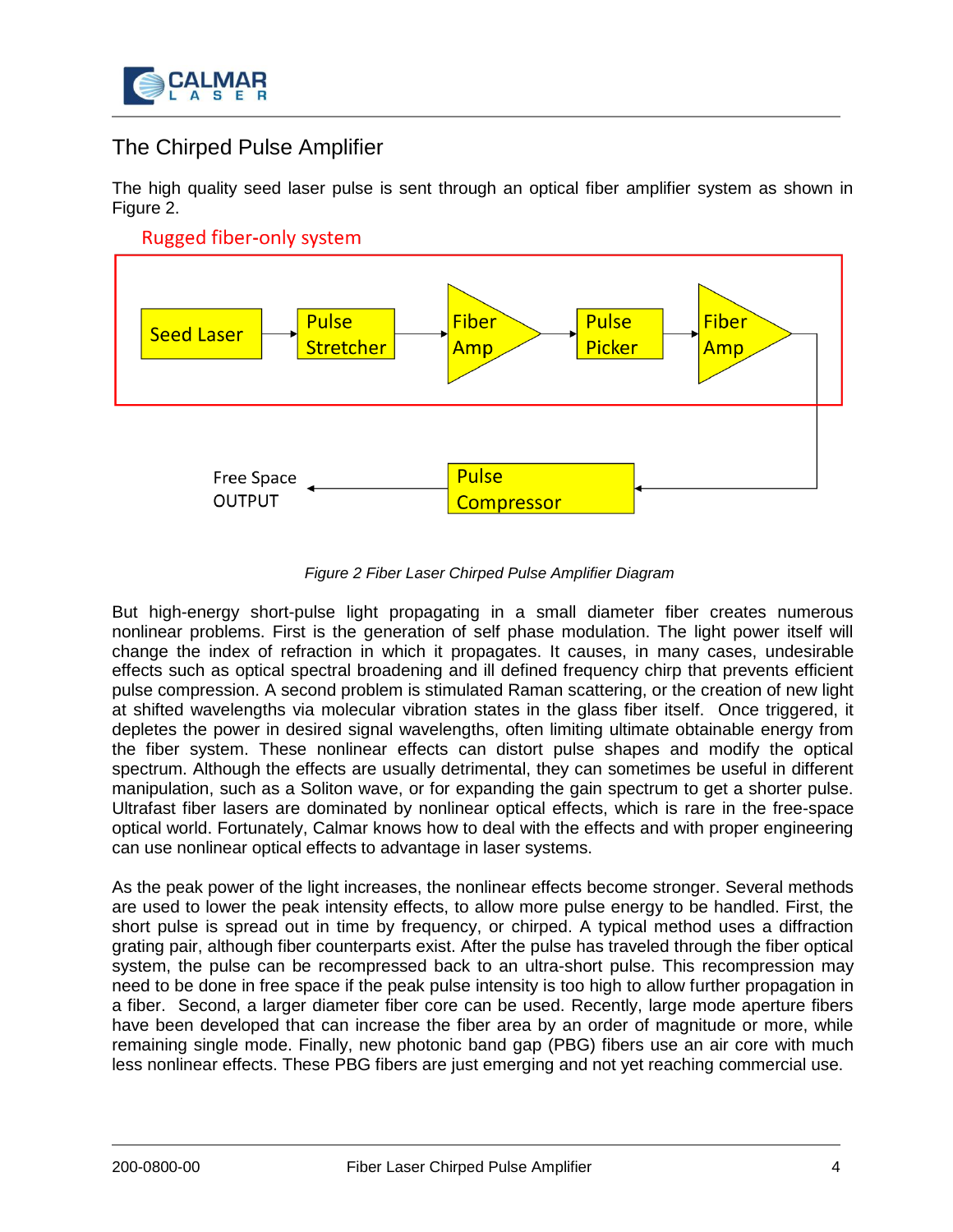

# The Chirped Pulse Amplifier

The high quality seed laser pulse is sent through an optical fiber amplifier system as shown in Figure 2.



### *Figure 2 Fiber Laser Chirped Pulse Amplifier Diagram*

But high-energy short-pulse light propagating in a small diameter fiber creates numerous nonlinear problems. First is the generation of self phase modulation. The light power itself will change the index of refraction in which it propagates. It causes, in many cases, undesirable effects such as optical spectral broadening and ill defined frequency chirp that prevents efficient pulse compression. A second problem is stimulated Raman scattering, or the creation of new light at shifted wavelengths via molecular vibration states in the glass fiber itself. Once triggered, it depletes the power in desired signal wavelengths, often limiting ultimate obtainable energy from the fiber system. These nonlinear effects can distort pulse shapes and modify the optical spectrum. Although the effects are usually detrimental, they can sometimes be useful in different manipulation, such as a Soliton wave, or for expanding the gain spectrum to get a shorter pulse. Ultrafast fiber lasers are dominated by nonlinear optical effects, which is rare in the free-space optical world. Fortunately, Calmar knows how to deal with the effects and with proper engineering can use nonlinear optical effects to advantage in laser systems.

As the peak power of the light increases, the nonlinear effects become stronger. Several methods are used to lower the peak intensity effects, to allow more pulse energy to be handled. First, the short pulse is spread out in time by frequency, or chirped. A typical method uses a diffraction grating pair, although fiber counterparts exist. After the pulse has traveled through the fiber optical system, the pulse can be recompressed back to an ultra-short pulse. This recompression may need to be done in free space if the peak pulse intensity is too high to allow further propagation in a fiber. Second, a larger diameter fiber core can be used. Recently, large mode aperture fibers have been developed that can increase the fiber area by an order of magnitude or more, while remaining single mode. Finally, new photonic band gap (PBG) fibers use an air core with much less nonlinear effects. These PBG fibers are just emerging and not yet reaching commercial use.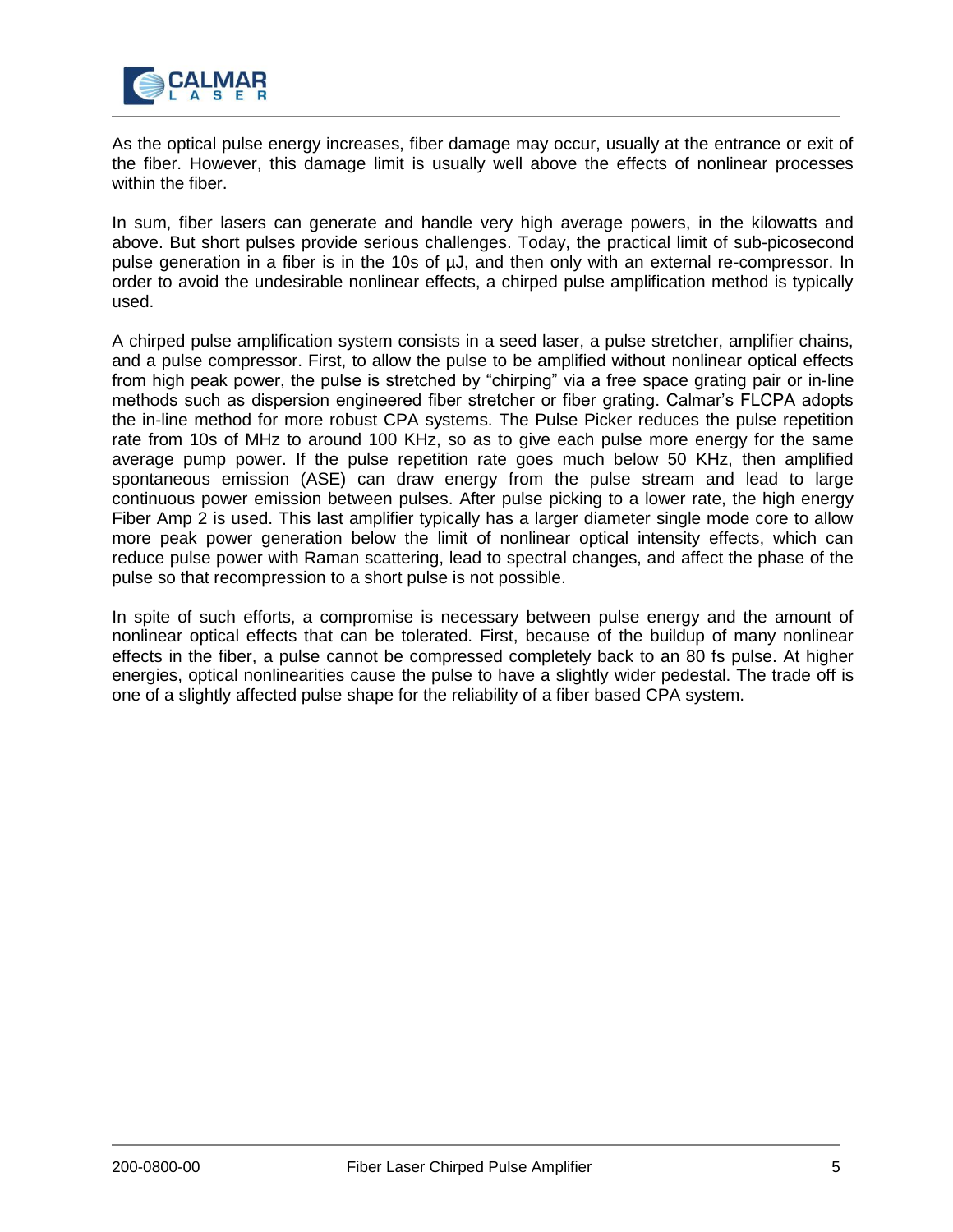

As the optical pulse energy increases, fiber damage may occur, usually at the entrance or exit of the fiber. However, this damage limit is usually well above the effects of nonlinear processes within the fiber.

In sum, fiber lasers can generate and handle very high average powers, in the kilowatts and above. But short pulses provide serious challenges. Today, the practical limit of sub-picosecond pulse generation in a fiber is in the 10s of µJ, and then only with an external re-compressor. In order to avoid the undesirable nonlinear effects, a chirped pulse amplification method is typically used.

A chirped pulse amplification system consists in a seed laser, a pulse stretcher, amplifier chains, and a pulse compressor. First, to allow the pulse to be amplified without nonlinear optical effects from high peak power, the pulse is stretched by "chirping" via a free space grating pair or in-line methods such as dispersion engineered fiber stretcher or fiber grating. Calmar's FLCPA adopts the in-line method for more robust CPA systems. The Pulse Picker reduces the pulse repetition rate from 10s of MHz to around 100 KHz, so as to give each pulse more energy for the same average pump power. If the pulse repetition rate goes much below 50 KHz, then amplified spontaneous emission (ASE) can draw energy from the pulse stream and lead to large continuous power emission between pulses. After pulse picking to a lower rate, the high energy Fiber Amp 2 is used. This last amplifier typically has a larger diameter single mode core to allow more peak power generation below the limit of nonlinear optical intensity effects, which can reduce pulse power with Raman scattering, lead to spectral changes, and affect the phase of the pulse so that recompression to a short pulse is not possible.

In spite of such efforts, a compromise is necessary between pulse energy and the amount of nonlinear optical effects that can be tolerated. First, because of the buildup of many nonlinear effects in the fiber, a pulse cannot be compressed completely back to an 80 fs pulse. At higher energies, optical nonlinearities cause the pulse to have a slightly wider pedestal. The trade off is one of a slightly affected pulse shape for the reliability of a fiber based CPA system.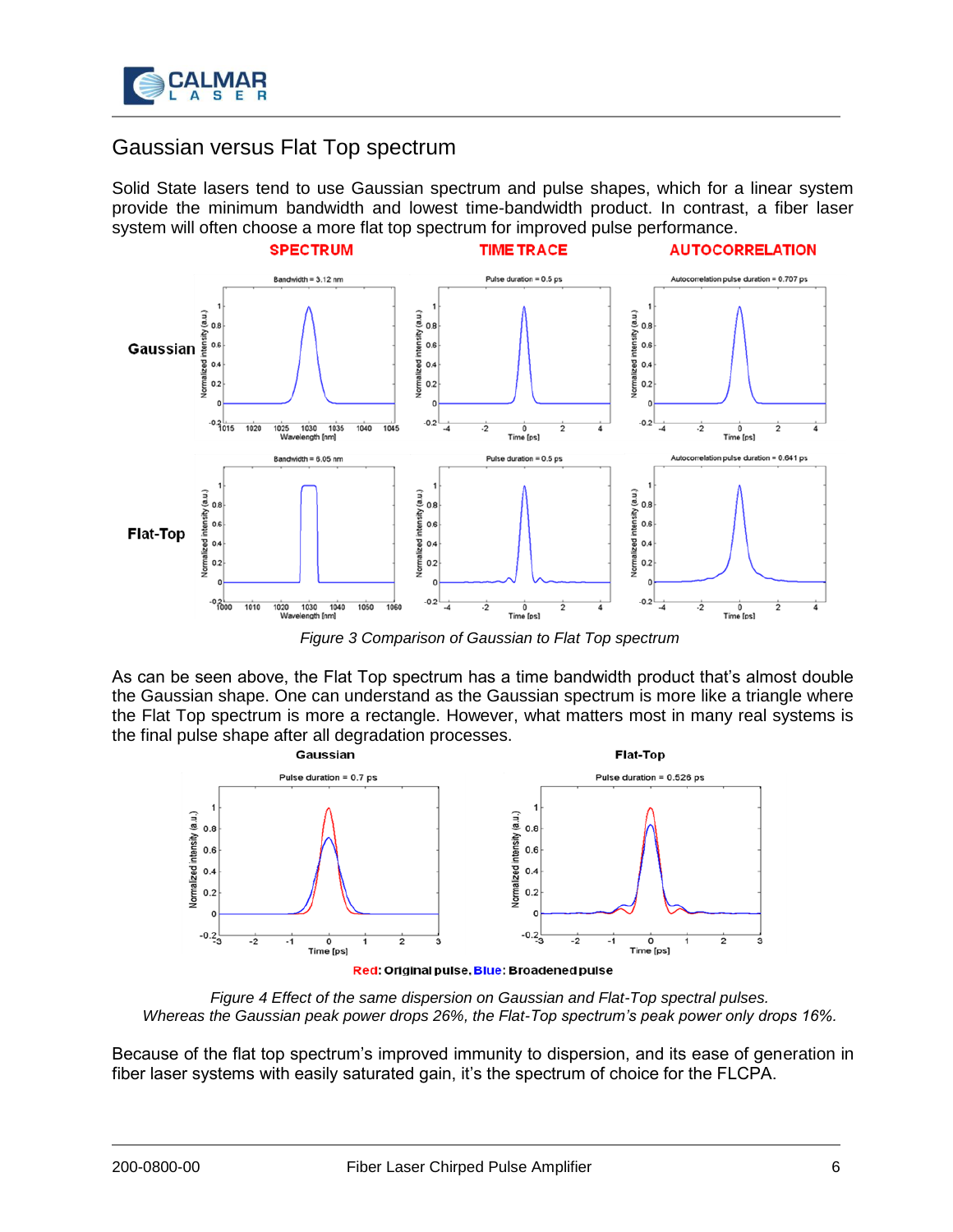

# Gaussian versus Flat Top spectrum

Solid State lasers tend to use Gaussian spectrum and pulse shapes, which for a linear system provide the minimum bandwidth and lowest time-bandwidth product. In contrast, a fiber laser system will often choose a more flat top spectrum for improved pulse performance.



*Figure 3 Comparison of Gaussian to Flat Top spectrum*

As can be seen above, the Flat Top spectrum has a time bandwidth product that's almost double the Gaussian shape. One can understand as the Gaussian spectrum is more like a triangle where the Flat Top spectrum is more a rectangle. However, what matters most in many real systems is the final pulse shape after all degradation processes.



*Figure 4 Effect of the same dispersion on Gaussian and Flat-Top spectral pulses. Whereas the Gaussian peak power drops 26%, the Flat-Top spectrum's peak power only drops 16%.*

Because of the flat top spectrum's improved immunity to dispersion, and its ease of generation in fiber laser systems with easily saturated gain, it's the spectrum of choice for the FLCPA.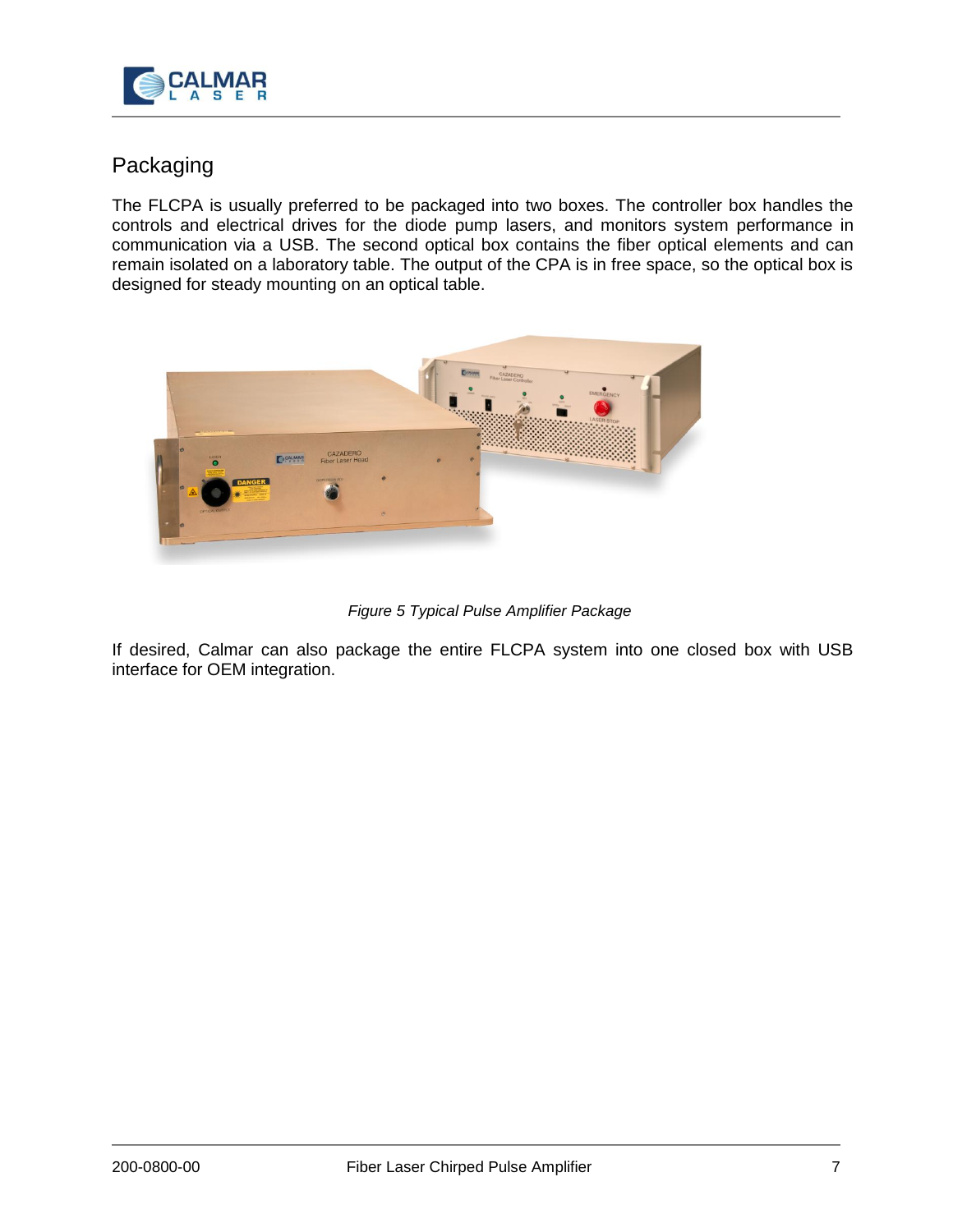

# Packaging

The FLCPA is usually preferred to be packaged into two boxes. The controller box handles the controls and electrical drives for the diode pump lasers, and monitors system performance in communication via a USB. The second optical box contains the fiber optical elements and can remain isolated on a laboratory table. The output of the CPA is in free space, so the optical box is designed for steady mounting on an optical table.



*Figure 5 Typical Pulse Amplifier Package*

If desired, Calmar can also package the entire FLCPA system into one closed box with USB interface for OEM integration.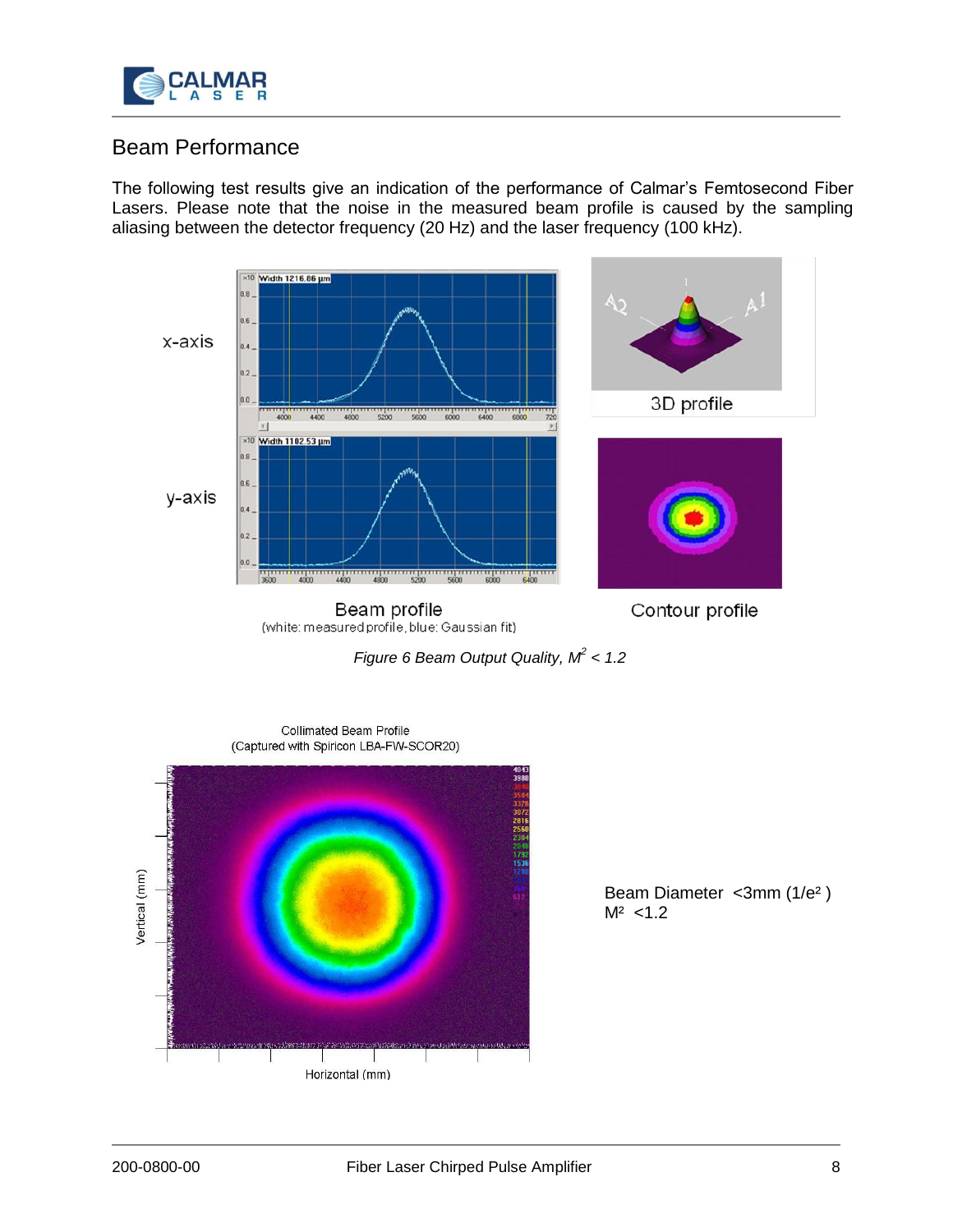

# Beam Performance

The following test results give an indication of the performance of Calmar's Femtosecond Fiber Lasers. Please note that the noise in the measured beam profile is caused by the sampling aliasing between the detector frequency (20 Hz) and the laser frequency (100 kHz).



*Figure 6 Beam Output Quality, M<sup>2</sup> < 1.2*



Beam Diameter <3mm (1/e² )  $M^2$  < 1.2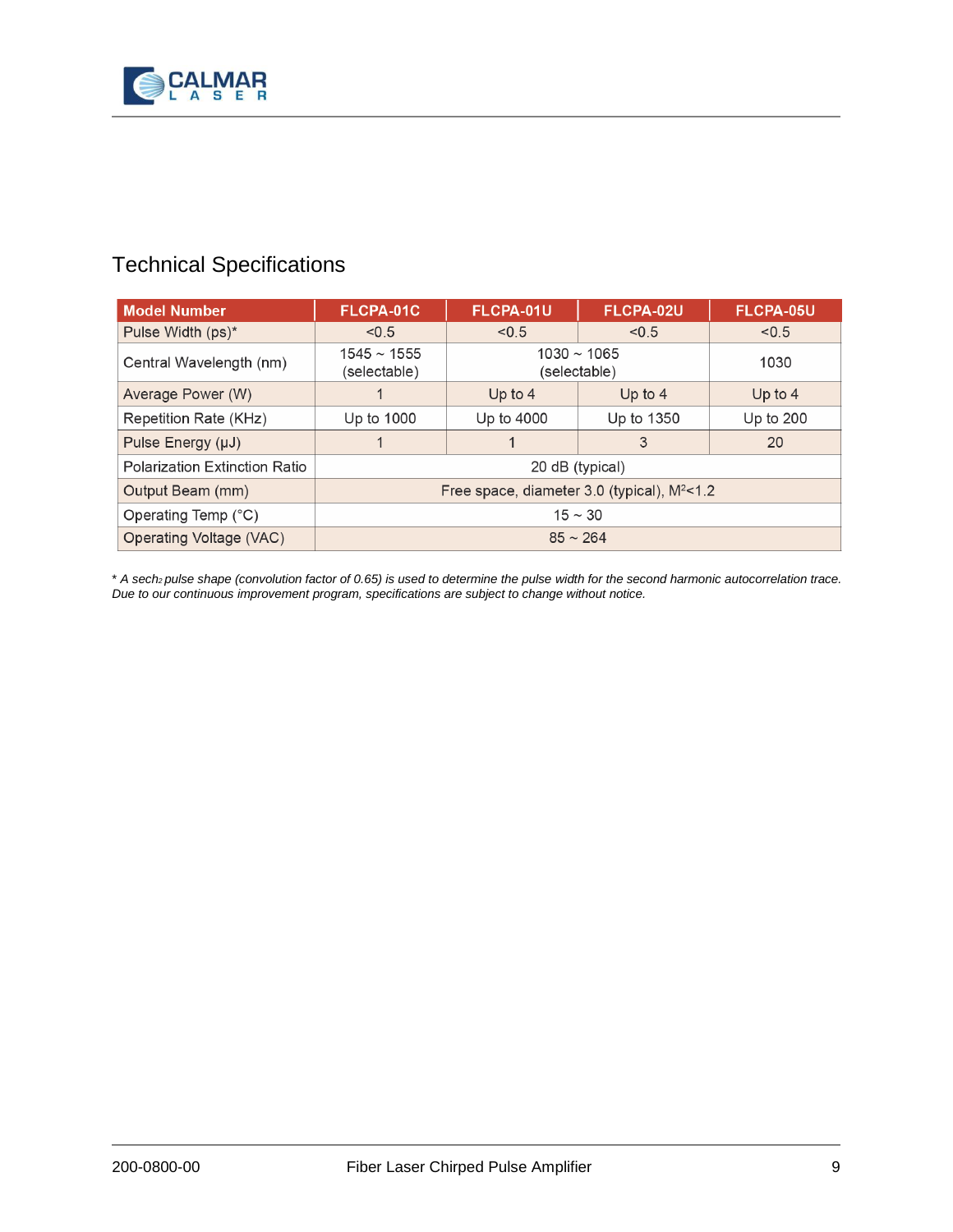

# Technical Specifications

| <b>Model Number</b>                  | FLCPA-01C                                         | FLCPA-01U                        | FLCPA-02U  | FLCPA-05U |
|--------------------------------------|---------------------------------------------------|----------------------------------|------------|-----------|
| Pulse Width (ps)*                    | < 0.5                                             | < 0.5                            | < 0.5      | < 0.5     |
| Central Wavelength (nm)              | $1545 \sim 1555$<br>(selectable)                  | $1030 \sim 1065$<br>(selectable) |            | 1030      |
| Average Power (W)                    |                                                   | Up to $4$                        | Up to $4$  | Up to $4$ |
| Repetition Rate (KHz)                | Up to 1000                                        | Up to 4000                       | Up to 1350 | Up to 200 |
| Pulse Energy (µJ)                    |                                                   |                                  | 3          | 20        |
| <b>Polarization Extinction Ratio</b> | 20 dB (typical)                                   |                                  |            |           |
| Output Beam (mm)                     | Free space, diameter $3.0$ (typical), $M^2 < 1.2$ |                                  |            |           |
| Operating Temp (°C)                  | $15 \sim 30$                                      |                                  |            |           |
| Operating Voltage (VAC)              | $85 \sim 264$                                     |                                  |            |           |

\* *A sech2 pulse shape (convolution factor of 0.65) is used to determine the pulse width for the second harmonic autocorrelation trace. Due to our continuous improvement program, specifications are subject to change without notice.*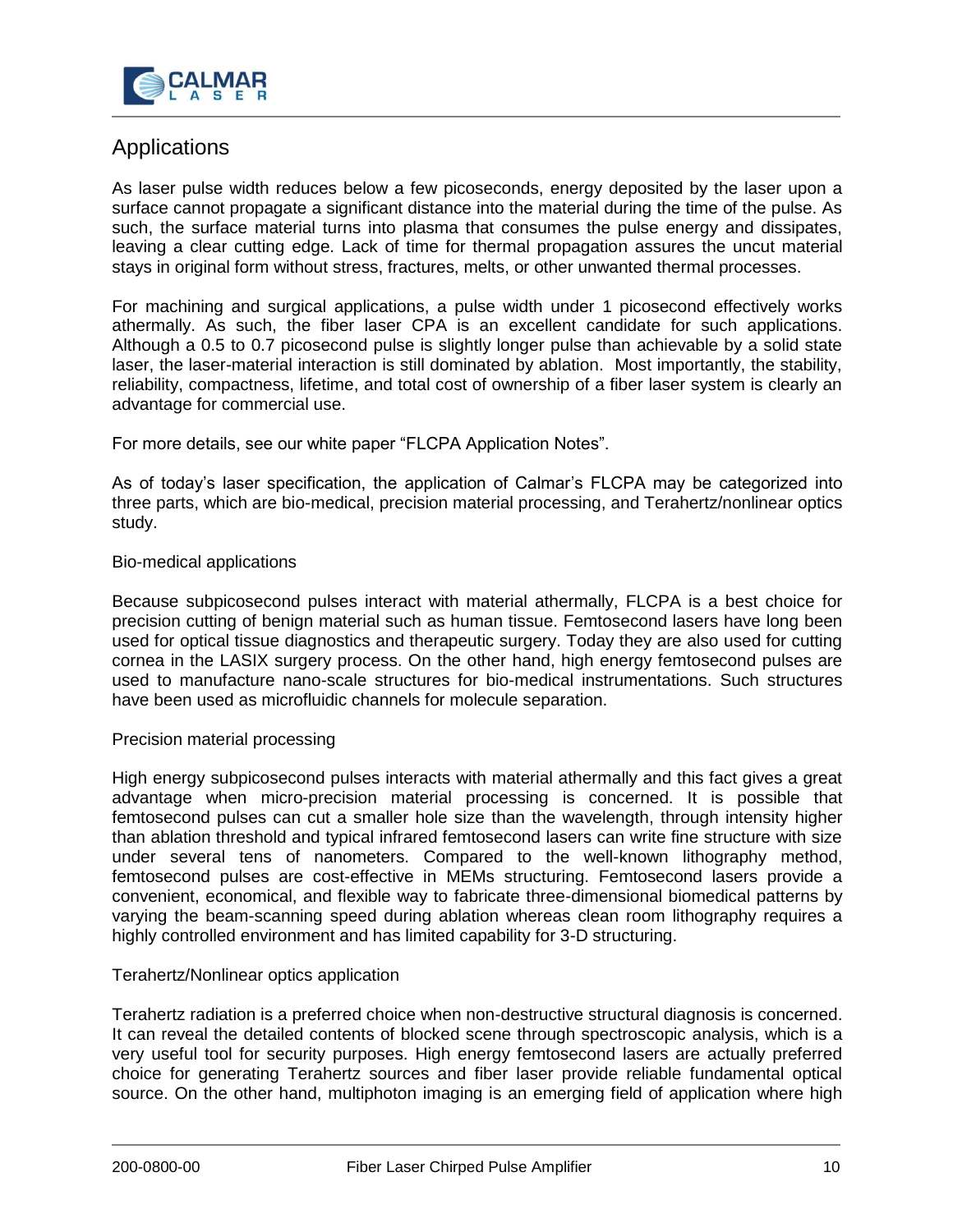

# Applications

As laser pulse width reduces below a few picoseconds, energy deposited by the laser upon a surface cannot propagate a significant distance into the material during the time of the pulse. As such, the surface material turns into plasma that consumes the pulse energy and dissipates, leaving a clear cutting edge. Lack of time for thermal propagation assures the uncut material stays in original form without stress, fractures, melts, or other unwanted thermal processes.

For machining and surgical applications, a pulse width under 1 picosecond effectively works athermally. As such, the fiber laser CPA is an excellent candidate for such applications. Although a 0.5 to 0.7 picosecond pulse is slightly longer pulse than achievable by a solid state laser, the laser-material interaction is still dominated by ablation. Most importantly, the stability, reliability, compactness, lifetime, and total cost of ownership of a fiber laser system is clearly an advantage for commercial use.

For more details, see our white paper "FLCPA Application Notes".

As of today's laser specification, the application of Calmar's FLCPA may be categorized into three parts, which are bio-medical, precision material processing, and Terahertz/nonlinear optics study.

### Bio-medical applications

Because subpicosecond pulses interact with material athermally, FLCPA is a best choice for precision cutting of benign material such as human tissue. Femtosecond lasers have long been used for optical tissue diagnostics and therapeutic surgery. Today they are also used for cutting cornea in the LASIX surgery process. On the other hand, high energy femtosecond pulses are used to manufacture nano-scale structures for bio-medical instrumentations. Such structures have been used as microfluidic channels for molecule separation.

### Precision material processing

High energy subpicosecond pulses interacts with material athermally and this fact gives a great advantage when micro-precision material processing is concerned. It is possible that femtosecond pulses can cut a smaller hole size than the wavelength, through intensity higher than ablation threshold and typical infrared femtosecond lasers can write fine structure with size under several tens of nanometers. Compared to the well-known lithography method, femtosecond pulses are cost-effective in MEMs structuring. Femtosecond lasers provide a convenient, economical, and flexible way to fabricate three-dimensional biomedical patterns by varying the beam-scanning speed during ablation whereas clean room lithography requires a highly controlled environment and has limited capability for 3-D structuring.

### Terahertz/Nonlinear optics application

Terahertz radiation is a preferred choice when non-destructive structural diagnosis is concerned. It can reveal the detailed contents of blocked scene through spectroscopic analysis, which is a very useful tool for security purposes. High energy femtosecond lasers are actually preferred choice for generating Terahertz sources and fiber laser provide reliable fundamental optical source. On the other hand, multiphoton imaging is an emerging field of application where high